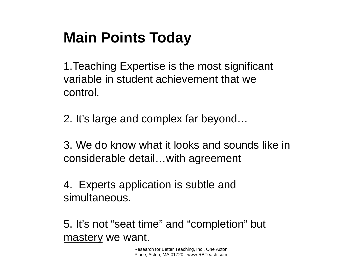# **Main Points Today**

1.Teaching Expertise is the most significant variable in student achievement that we control.

2. It's large and complex far beyond…

3. We do know what it looks and sounds like in considerable detail…with agreement

4. Experts application is subtle and simultaneous.

5. It's not "seat time" and "completion" but mastery we want.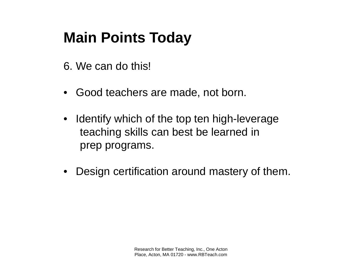# **Main Points Today**

- 6. We can do this!
- Good teachers are made, not born.
- Identify which of the top ten high-leverage teaching skills can best be learned in prep programs.
- Design certification around mastery of them.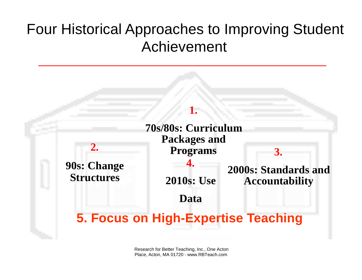## Four Historical Approaches to Improving Student Achievement

#### **1.**

| 2.                                      | <b>Packages and</b><br><b>Programs</b> |                                     |
|-----------------------------------------|----------------------------------------|-------------------------------------|
| <b>90s: Change</b><br><b>Structures</b> |                                        | 2000s: Standards and                |
|                                         | <b>2010s: Use</b>                      | <b>Accountability</b>               |
|                                         | Data                                   |                                     |
|                                         |                                        | 5. Focus on High-Expertise Teaching |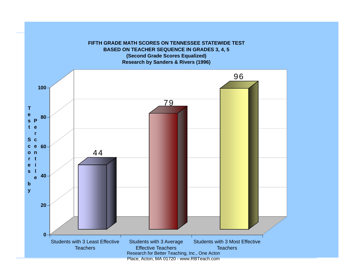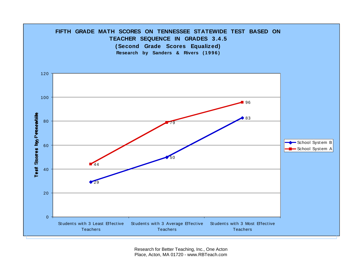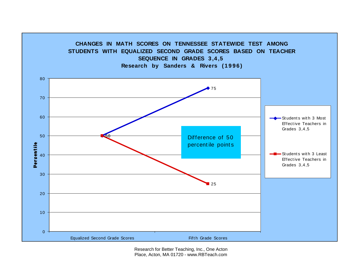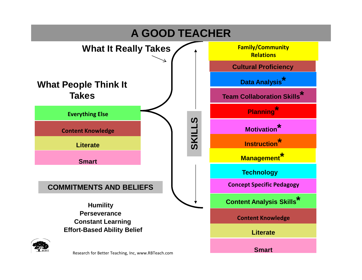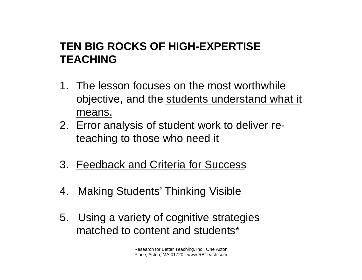### **TEN BIG ROCKS OF HIGH-EXPERTISE TEACHING**

- 1. The lesson focuses on the most worthwhile objective, and the students understand what it means.
- 2. Error analysis of student work to deliver reteaching to those who need it
- 3. Feedback and Criteria for Success
- 4. Making Students' Thinking Visible
- 5. Using a variety of cognitive strategies matched to content and students\*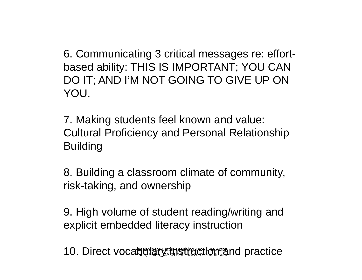6. Communicating 3 critical messages re: effortbased ability: THIS IS IMPORTANT; YOU CAN DO IT; AND I'M NOT GOING TO GIVE UP ON YOU.

7. Making students feel known and value: Cultural Proficiency and Personal Relationship Building

8. Building a classroom climate of community, risk-taking, and ownership

9. High volume of student reading/writing and explicit embedded literacy instruction

10. Direct vocabular Better Better Research and practice